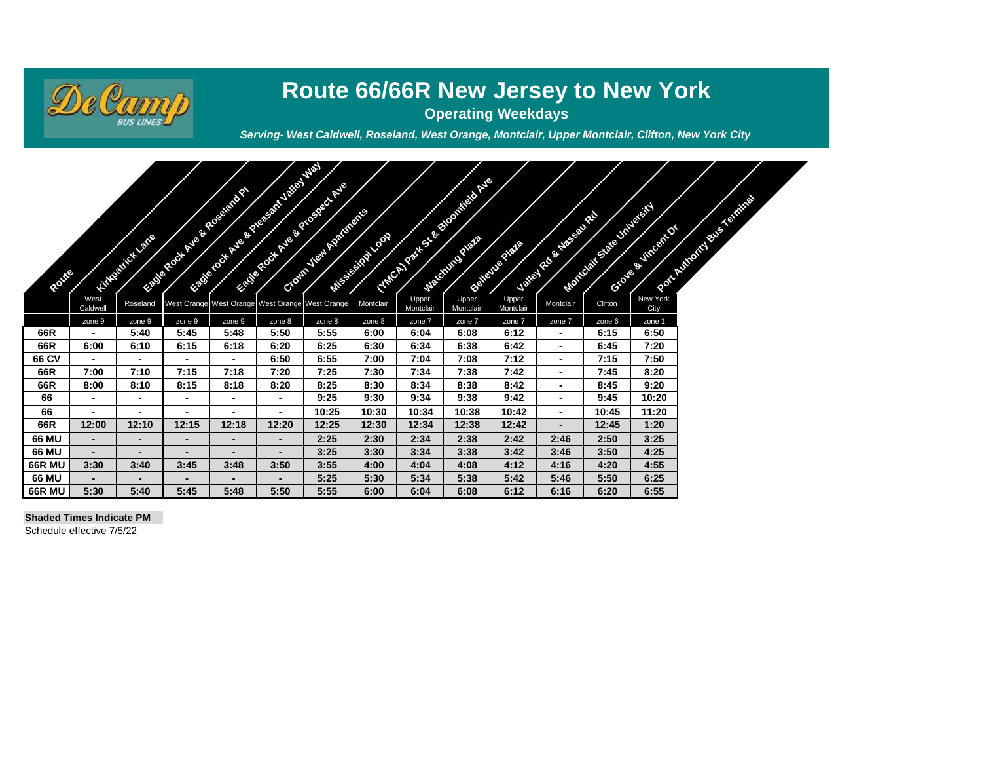

# **Route 66/66R New Jersey to New York**

**Operating Weekdays**

╱

*Serving- West Caldwell, Roseland, West Orange, Montclair, Upper Montclair, Clifton, New York City*

| Route         |                          | <b>CONTRACTOR</b> |                          | <b>CONSTRUCTION OF BRIDER</b> | <b>CONSTRUCTION OF REAL PROPERTY.</b><br><b>ANDREW AVE REPORTED</b> | <b>CONTRACTOR</b> | <b>CONTRACTOR</b> |                    | <b>CONSTRUCTION OF BRIDE AND READY</b> | <b>CALIFORNIA</b>  | <b>CONTRACTOR</b>        | <b>CONTRACTOR</b> | <b>CONTRACTOR</b> | No of the Contract of the Contract of the Contract of the Contract of the Contract of the Contract of the Contract of The Contract of The Contract of The Contract of The Contract of The Contract of The Contract of The Cont |
|---------------|--------------------------|-------------------|--------------------------|-------------------------------|---------------------------------------------------------------------|-------------------|-------------------|--------------------|----------------------------------------|--------------------|--------------------------|-------------------|-------------------|--------------------------------------------------------------------------------------------------------------------------------------------------------------------------------------------------------------------------------|
|               | West<br>Caldwell         | Roseland          |                          |                               | West Orange West Orange West Orange West Orange                     |                   | Montclair         | Upper<br>Montclair | Upper<br>Montclair                     | Upper<br>Montclair | Montclair                | Clifton           | New York<br>City  |                                                                                                                                                                                                                                |
|               | zone 9                   | zone 9            | zone 9                   | zone 9                        | zone 8                                                              | zone 8            | zone 8            | zone 7             | zone 7                                 | zone 7             | zone 7                   | zone 6            | zone 1            |                                                                                                                                                                                                                                |
| 66R           |                          | 5:40              | 5:45                     | 5:48                          | 5:50                                                                | 5:55              | 6:00              | 6:04               | 6:08                                   | 6:12               | -                        | 6:15              | 6:50              |                                                                                                                                                                                                                                |
| 66R           | 6:00                     | 6:10              | 6:15                     | 6:18                          | 6:20                                                                | 6:25              | 6:30              | 6:34               | 6:38                                   | 6:42               |                          | 6:45              | 7:20              |                                                                                                                                                                                                                                |
| 66 CV         |                          | $\blacksquare$    | -                        |                               | 6:50                                                                | 6:55              | 7:00              | 7:04               | 7:08                                   | 7:12               | -                        | 7:15              | 7:50              |                                                                                                                                                                                                                                |
| 66R           | 7:00                     | 7:10              | 7:15                     | 7:18                          | 7:20                                                                | 7:25              | 7:30              | 7:34               | 7:38                                   | 7:42               | -                        | 7:45              | 8:20              |                                                                                                                                                                                                                                |
| 66R           | 8:00                     | 8:10              | 8:15                     | 8:18                          | 8:20                                                                | 8:25              | 8:30              | 8:34               | 8:38                                   | 8:42               | $\blacksquare$           | 8:45              | 9:20              |                                                                                                                                                                                                                                |
| 66            | $\blacksquare$           | $\blacksquare$    | $\overline{\phantom{a}}$ | $\blacksquare$                | $\blacksquare$                                                      | 9:25              | 9:30              | 9:34               | 9:38                                   | 9:42               | Ξ.                       | 9:45              | 10:20             |                                                                                                                                                                                                                                |
| 66            |                          | $\blacksquare$    | $\blacksquare$           | $\blacksquare$                | $\blacksquare$                                                      | 10:25             | 10:30             | 10:34              | 10:38                                  | 10:42              | $\blacksquare$           | 10:45             | 11:20             |                                                                                                                                                                                                                                |
| 66R           | 12:00                    | 12:10             | 12:15                    | 12:18                         | 12:20                                                               | 12:25             | 12:30             | 12:34              | 12:38                                  | 12:42              | $\overline{\phantom{0}}$ | 12:45             | 1:20              |                                                                                                                                                                                                                                |
| 66 MU         | $\blacksquare$           |                   | $\blacksquare$           | ۰.                            | $\blacksquare$                                                      | 2:25              | 2:30              | 2:34               | 2:38                                   | 2:42               | 2:46                     | 2:50              | 3:25              |                                                                                                                                                                                                                                |
| 66 MU         | $\overline{\phantom{0}}$ | $\blacksquare$    | $\blacksquare$           | -                             | $\overline{\phantom{0}}$                                            | 3:25              | 3:30              | 3:34               | 3:38                                   | 3:42               | 3:46                     | 3:50              | 4:25              |                                                                                                                                                                                                                                |
| <b>66R MU</b> | 3:30                     | 3:40              | 3:45                     | 3:48                          | 3:50                                                                | 3:55              | 4:00              | 4:04               | 4:08                                   | 4:12               | 4:16                     | 4:20              | 4:55              |                                                                                                                                                                                                                                |
| 66 MU         | $\overline{\phantom{0}}$ |                   | $\overline{\phantom{0}}$ |                               | $\blacksquare$                                                      | 5:25              | 5:30              | 5:34               | 5:38                                   | 5:42               | 5:46                     | 5:50              | 6:25              |                                                                                                                                                                                                                                |
| <b>66R MU</b> | 5:30                     | 5:40              | 5:45                     | 5:48                          | 5:50                                                                | 5:55              | 6:00              | 6:04               | 6:08                                   | 6:12               | 6:16                     | 6:20              | 6:55              |                                                                                                                                                                                                                                |

#### **Shaded Times Indicate PM**

Schedule effective 7/5/22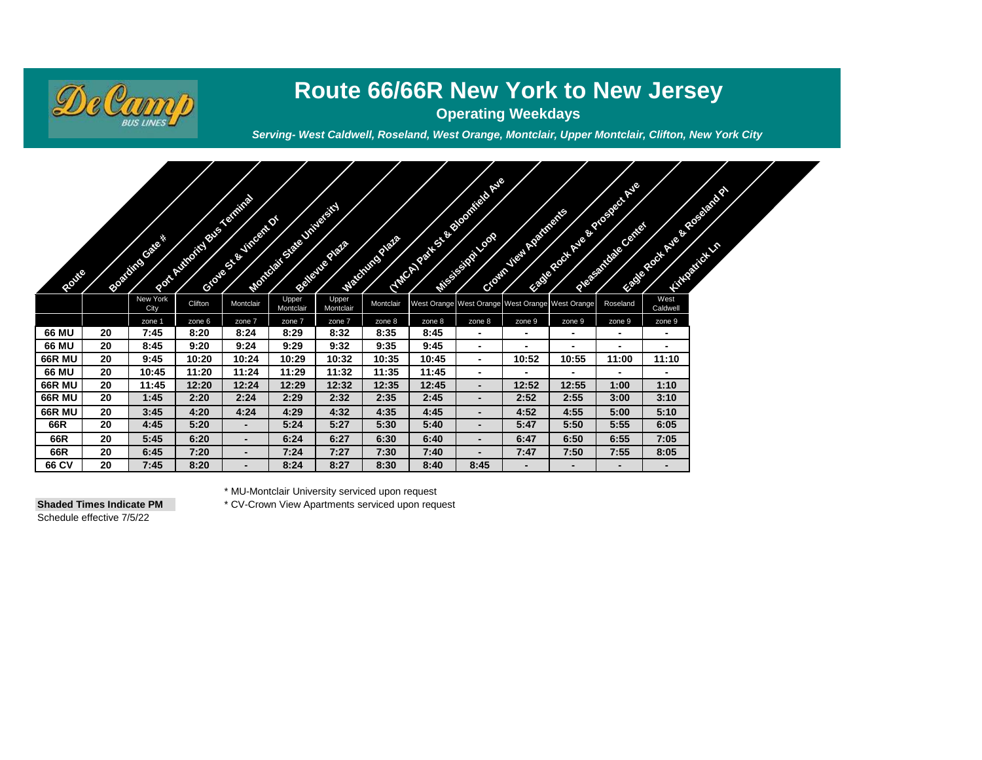

# **Route 66/66R New York to New Jersey**

**Operating Weekdays**

*Serving- West Caldwell, Roseland, West Orange, Montclair, Upper Montclair, Clifton, New York City*

| ROOMS         |    | <b>CONTRACTOR</b> | <b>CALIFORNIA SERVICE AND REAL PROPERTY</b> | <b>CONTRACTOR</b>        | <b>CONTRACTOR</b>  | <b>CALIFORNIA</b>  | <b>CONSTRUCTION OF BRIDE</b> |        | <b>CONSTRUCTION OF BRIDE ASSESS</b>             | Computer Residence | <b>CONSTRUCTION OF PROPERTY AND</b> | <b>Contract Contract Contract Contract Contract Contract Contract Contract Contract Contract Contract Contract Contract Contract Contract Contract Contract Contract Contract Contract Contract Contract Contract Contract Contr</b> |                          | <b>CONSTRUCTION OF BRIDER</b> |  |
|---------------|----|-------------------|---------------------------------------------|--------------------------|--------------------|--------------------|------------------------------|--------|-------------------------------------------------|--------------------|-------------------------------------|--------------------------------------------------------------------------------------------------------------------------------------------------------------------------------------------------------------------------------------|--------------------------|-------------------------------|--|
|               |    | New York<br>City  | Clifton                                     | Montclair                | Upper<br>Montclair | Upper<br>Montclair | Montclair                    |        | West Orange West Orange West Orange West Orange |                    |                                     | Roseland                                                                                                                                                                                                                             | West<br>Caldwell         |                               |  |
|               |    | zone 1            | zone 6                                      | zone 7                   | zone 7             | zone 7             | zone 8                       | zone 8 | zone 8                                          | zone 9             | zone 9                              | zone 9                                                                                                                                                                                                                               | zone 9                   |                               |  |
| 66 MU         | 20 | 7:45              | 8:20                                        | 8:24                     | 8:29               | 8:32               | 8:35                         | 8:45   | $\blacksquare$                                  | -                  | $\blacksquare$                      | $\blacksquare$                                                                                                                                                                                                                       | $\blacksquare$           |                               |  |
| 66 MU         | 20 | 8:45              | 9:20                                        | 9:24                     | 9:29               | 9:32               | 9:35                         | 9:45   | $\blacksquare$                                  | -                  |                                     | $\overline{\phantom{0}}$                                                                                                                                                                                                             | $\blacksquare$           |                               |  |
| <b>66R MU</b> | 20 | 9:45              | 10:20                                       | 10:24                    | 10:29              | 10:32              | 10:35                        | 10:45  | $\blacksquare$                                  | 10:52              | 10:55                               | 11:00                                                                                                                                                                                                                                | 11:10                    |                               |  |
| 66 MU         | 20 | 10:45             | 11:20                                       | 11:24                    | 11:29              | 11:32              | 11:35                        | 11:45  | $\blacksquare$                                  | -                  |                                     | $\blacksquare$                                                                                                                                                                                                                       | $\overline{\phantom{a}}$ |                               |  |
| <b>66R MU</b> | 20 | 11:45             | 12:20                                       | 12:24                    | 12:29              | 12:32              | 12:35                        | 12:45  | $\blacksquare$                                  | 12:52              | 12:55                               | 1:00                                                                                                                                                                                                                                 | 1:10                     |                               |  |
| <b>66R MU</b> | 20 | 1:45              | 2:20                                        | 2:24                     | 2:29               | 2:32               | 2:35                         | 2:45   | $\overline{\phantom{a}}$                        | 2:52               | 2:55                                | 3:00                                                                                                                                                                                                                                 | 3:10                     |                               |  |
| <b>66R MU</b> | 20 | 3:45              | 4:20                                        | 4:24                     | 4:29               | 4:32               | 4:35                         | 4:45   | $\blacksquare$                                  | 4:52               | 4:55                                | 5:00                                                                                                                                                                                                                                 | 5:10                     |                               |  |
| 66R           | 20 | 4:45              | 5:20                                        | $\blacksquare$           | 5:24               | 5:27               | 5:30                         | 5:40   | $\blacksquare$                                  | 5:47               | 5:50                                | 5:55                                                                                                                                                                                                                                 | 6:05                     |                               |  |
| 66R           | 20 | 5:45              | 6:20                                        | $\overline{\phantom{0}}$ | 6:24               | 6:27               | 6:30                         | 6:40   | ٠                                               | 6:47               | 6:50                                | 6:55                                                                                                                                                                                                                                 | 7:05                     |                               |  |
| 66R           | 20 | 6:45              | 7:20                                        | $\blacksquare$           | 7:24               | 7:27               | 7:30                         | 7:40   | $\blacksquare$                                  | 7:47               | 7:50                                | 7:55                                                                                                                                                                                                                                 | 8:05                     |                               |  |
| 66 CV         | 20 | 7:45              | 8:20                                        | $\overline{\phantom{0}}$ | 8:24               | 8:27               | 8:30                         | 8:40   | 8:45                                            | $\blacksquare$     | $\overline{\phantom{0}}$            | $\overline{\phantom{0}}$                                                                                                                                                                                                             | $\overline{\phantom{a}}$ |                               |  |

Schedule effective 7/5/22

\* MU-Montclair University serviced upon request

**Shaded Times Indicate PM** \* CV-Crown View Apartments serviced upon request